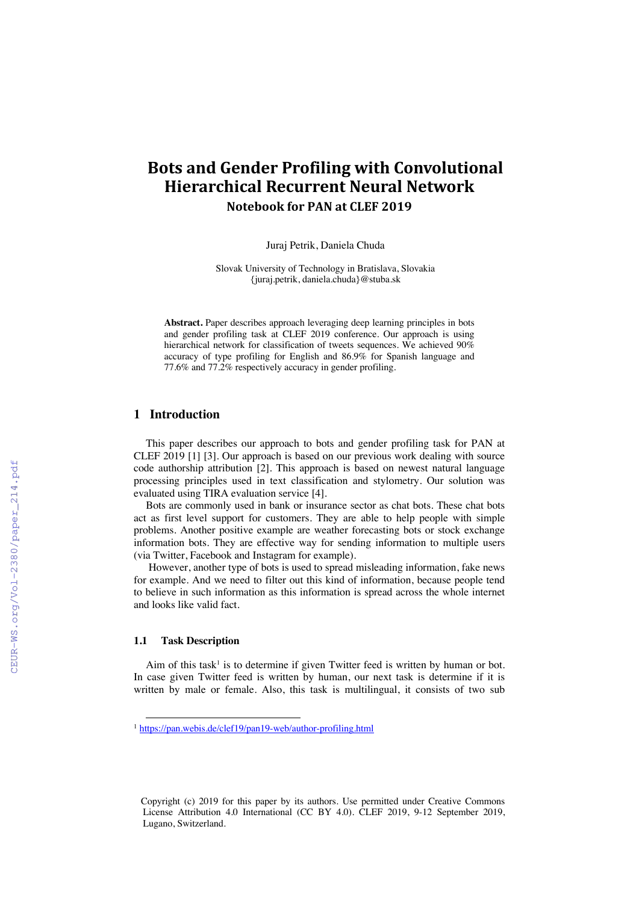# **Bots and Gender Profiling with Convolutional Hierarchical Recurrent Neural Network Notebook for PAN at CLEF 2019**

Juraj Petrik, Daniela Chuda

Slovak University of Technology in Bratislava, Slovakia {juraj.petrik, daniela.chuda}@stuba.sk

**Abstract.** Paper describes approach leveraging deep learning principles in bots and gender profiling task at CLEF 2019 conference. Our approach is using hierarchical network for classification of tweets sequences. We achieved 90% accuracy of type profiling for English and 86.9% for Spanish language and 77.6% and 77.2% respectively accuracy in gender profiling.

### **1 Introduction**

This paper describes our approach to bots and gender profiling task for PAN at CLEF 2019 [1] [3]. Our approach is based on our previous work dealing with source code authorship attribution [2]. This approach is based on newest natural language processing principles used in text classification and stylometry. Our solution was evaluated using TIRA evaluation service [4].

Bots are commonly used in bank or insurance sector as chat bots. These chat bots act as first level support for customers. They are able to help people with simple problems. Another positive example are weather forecasting bots or stock exchange information bots. They are effective way for sending information to multiple users (via Twitter, Facebook and Instagram for example).

However, another type of bots is used to spread misleading information, fake news for example. And we need to filter out this kind of information, because people tend to believe in such information as this information is spread across the whole internet and looks like valid fact.

#### **1.1 Task Description**

Aim of this task<sup>1</sup> is to determine if given Twitter feed is written by human or bot. In case given Twitter feed is written by human, our next task is determine if it is written by male or female. Also, this task is multilingual, it consists of two sub

<sup>&</sup>lt;sup>1</sup> https://pan.webis.de/clef19/pan19-web/author-profiling.html

Copyright (c) 2019 for this paper by its authors. Use permitted under Creative Commons License Attribution 4.0 International (CC BY 4.0). CLEF 2019, 9-12 September 2019, Lugano, Switzerland.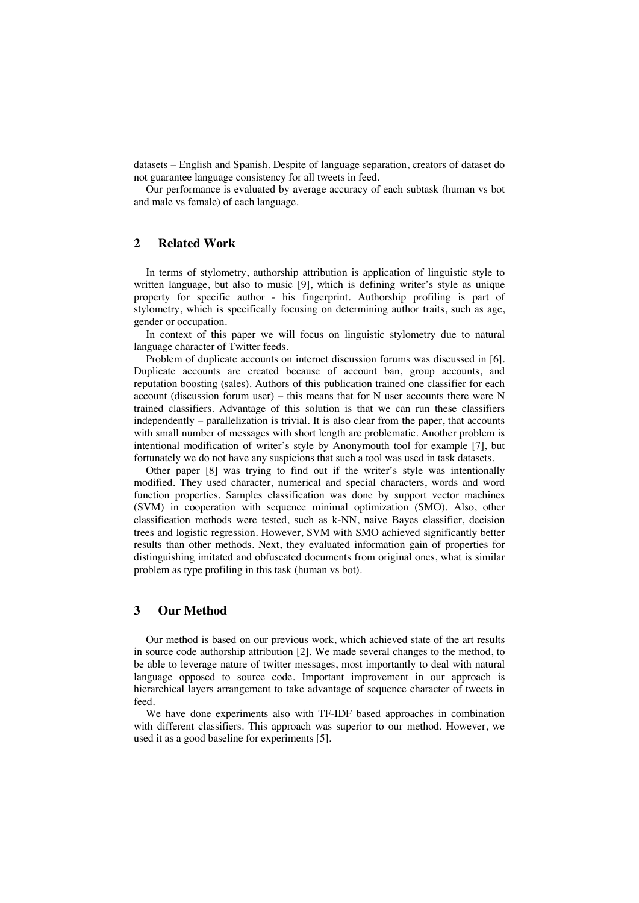datasets – English and Spanish. Despite of language separation, creators of dataset do not guarantee language consistency for all tweets in feed.

Our performance is evaluated by average accuracy of each subtask (human vs bot and male vs female) of each language.

## **2 Related Work**

In terms of stylometry, authorship attribution is application of linguistic style to written language, but also to music [9], which is defining writer's style as unique property for specific author - his fingerprint. Authorship profiling is part of stylometry, which is specifically focusing on determining author traits, such as age, gender or occupation.

In context of this paper we will focus on linguistic stylometry due to natural language character of Twitter feeds.

Problem of duplicate accounts on internet discussion forums was discussed in [6]. Duplicate accounts are created because of account ban, group accounts, and reputation boosting (sales). Authors of this publication trained one classifier for each account (discussion forum user) – this means that for N user accounts there were N trained classifiers. Advantage of this solution is that we can run these classifiers independently – parallelization is trivial. It is also clear from the paper, that accounts with small number of messages with short length are problematic. Another problem is intentional modification of writer's style by Anonymouth tool for example [7], but fortunately we do not have any suspicions that such a tool was used in task datasets.

Other paper [8] was trying to find out if the writer's style was intentionally modified. They used character, numerical and special characters, words and word function properties. Samples classification was done by support vector machines (SVM) in cooperation with sequence minimal optimization (SMO). Also, other classification methods were tested, such as k-NN, naive Bayes classifier, decision trees and logistic regression. However, SVM with SMO achieved significantly better results than other methods. Next, they evaluated information gain of properties for distinguishing imitated and obfuscated documents from original ones, what is similar problem as type profiling in this task (human vs bot).

## **3 Our Method**

Our method is based on our previous work, which achieved state of the art results in source code authorship attribution [2]. We made several changes to the method, to be able to leverage nature of twitter messages, most importantly to deal with natural language opposed to source code. Important improvement in our approach is hierarchical layers arrangement to take advantage of sequence character of tweets in feed.

We have done experiments also with TF-IDF based approaches in combination with different classifiers. This approach was superior to our method. However, we used it as a good baseline for experiments [5].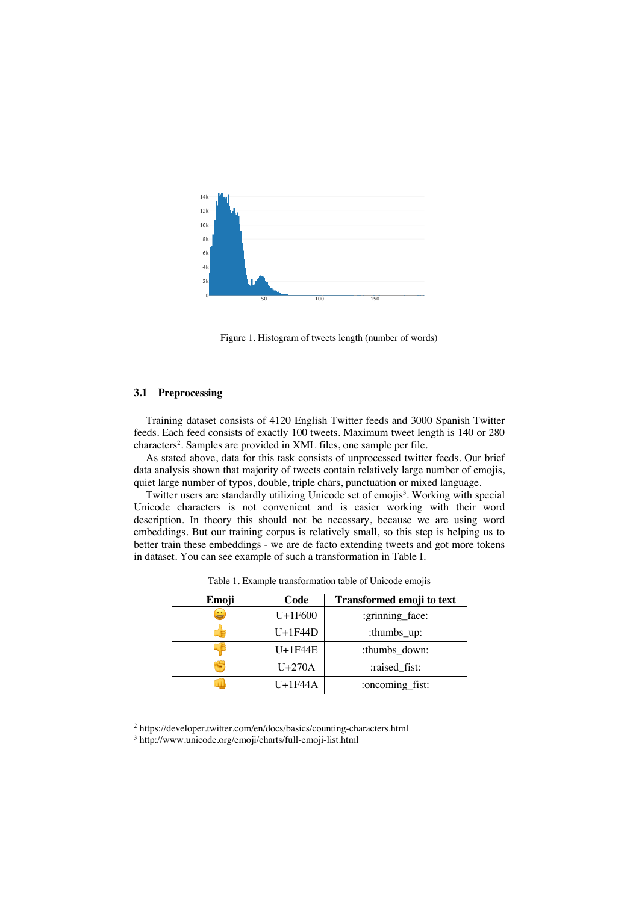

Figure 1. Histogram of tweets length (number of words)

#### **3.1 Preprocessing**

Training dataset consists of 4120 English Twitter feeds and 3000 Spanish Twitter feeds. Each feed consists of exactly 100 tweets. Maximum tweet length is 140 or 280 characters2 . Samples are provided in XML files, one sample per file.

As stated above, data for this task consists of unprocessed twitter feeds. Our brief data analysis shown that majority of tweets contain relatively large number of emojis, quiet large number of typos, double, triple chars, punctuation or mixed language.

Twitter users are standardly utilizing Unicode set of emojis<sup>3</sup>. Working with special Unicode characters is not convenient and is easier working with their word description. In theory this should not be necessary, because we are using word embeddings. But our training corpus is relatively small, so this step is helping us to better train these embeddings - we are de facto extending tweets and got more tokens in dataset. You can see example of such a transformation in Table I.

| Emoji | Code      | Transformed emoji to text |
|-------|-----------|---------------------------|
| ఆ     | $U+1F600$ | :grinning_face:           |
|       | $U+1F44D$ | :thumbs_up:               |
|       | $U+1F44E$ | :thumbs_down:             |
|       | $U+270A$  | :raised fist:             |
|       | $U+1F44A$ | :oncoming_fist:           |

Table 1. Example transformation table of Unicode emojis

 <sup>2</sup> https://developer.twitter.com/en/docs/basics/counting-characters.html

<sup>3</sup> http://www.unicode.org/emoji/charts/full-emoji-list.html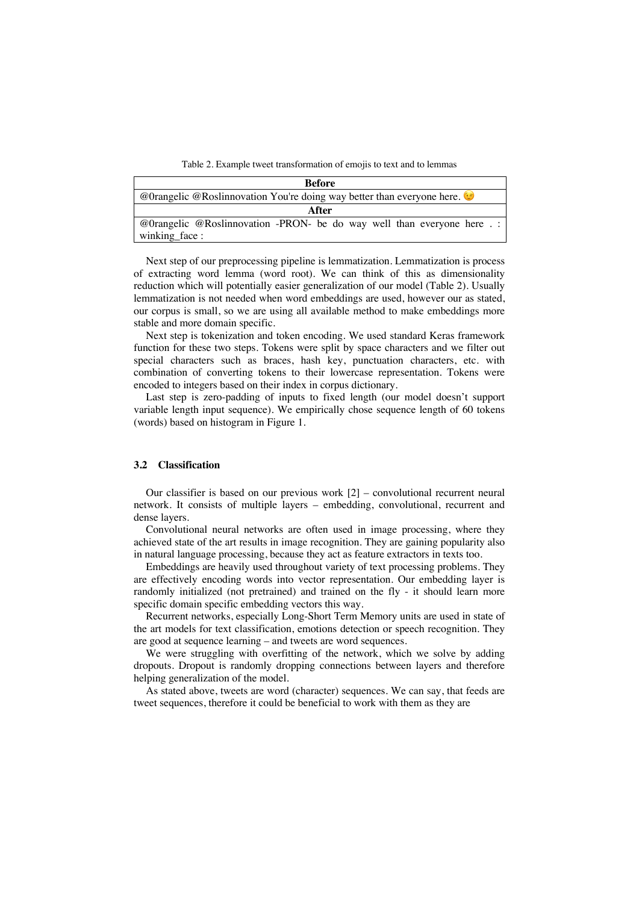Table 2. Example tweet transformation of emojis to text and to lemmas

| <b>Before</b>                                                          |  |  |  |  |
|------------------------------------------------------------------------|--|--|--|--|
| @Orangelic @Roslinnovation You're doing way better than everyone here. |  |  |  |  |
| After                                                                  |  |  |  |  |
| @Orangelic @Roslinnovation -PRON- be do way well than everyone here .: |  |  |  |  |
| winking face:                                                          |  |  |  |  |

Next step of our preprocessing pipeline is lemmatization. Lemmatization is process of extracting word lemma (word root). We can think of this as dimensionality reduction which will potentially easier generalization of our model (Table 2). Usually lemmatization is not needed when word embeddings are used, however our as stated, our corpus is small, so we are using all available method to make embeddings more stable and more domain specific.

Next step is tokenization and token encoding. We used standard Keras framework function for these two steps. Tokens were split by space characters and we filter out special characters such as braces, hash key, punctuation characters, etc. with combination of converting tokens to their lowercase representation. Tokens were encoded to integers based on their index in corpus dictionary.

Last step is zero-padding of inputs to fixed length (our model doesn't support variable length input sequence). We empirically chose sequence length of 60 tokens (words) based on histogram in Figure 1.

### **3.2 Classification**

Our classifier is based on our previous work [2] – convolutional recurrent neural network. It consists of multiple layers – embedding, convolutional, recurrent and dense layers.

Convolutional neural networks are often used in image processing, where they achieved state of the art results in image recognition. They are gaining popularity also in natural language processing, because they act as feature extractors in texts too.

Embeddings are heavily used throughout variety of text processing problems. They are effectively encoding words into vector representation. Our embedding layer is randomly initialized (not pretrained) and trained on the fly - it should learn more specific domain specific embedding vectors this way.

Recurrent networks, especially Long-Short Term Memory units are used in state of the art models for text classification, emotions detection or speech recognition. They are good at sequence learning – and tweets are word sequences.

We were struggling with overfitting of the network, which we solve by adding dropouts. Dropout is randomly dropping connections between layers and therefore helping generalization of the model.

As stated above, tweets are word (character) sequences. We can say, that feeds are tweet sequences, therefore it could be beneficial to work with them as they are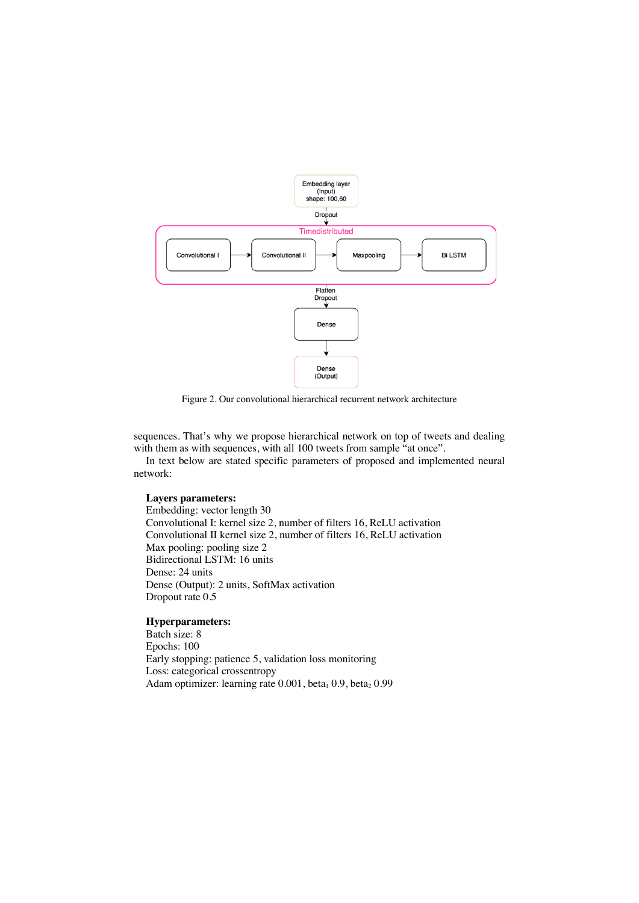

Figure 2. Our convolutional hierarchical recurrent network architecture

sequences. That's why we propose hierarchical network on top of tweets and dealing with them as with sequences, with all 100 tweets from sample "at once".

In text below are stated specific parameters of proposed and implemented neural network:

## **Layers parameters:**

Embedding: vector length 30 Convolutional I: kernel size 2, number of filters 16, ReLU activation Convolutional II kernel size 2, number of filters 16, ReLU activation Max pooling: pooling size 2 Bidirectional LSTM: 16 units Dense: 24 units Dense (Output): 2 units, SoftMax activation Dropout rate 0.5

## **Hyperparameters:**

Batch size: 8 Epochs: 100 Early stopping: patience 5, validation loss monitoring Loss: categorical crossentropy Adam optimizer: learning rate 0.001, beta<sub>1</sub> 0.9, beta<sub>2</sub> 0.99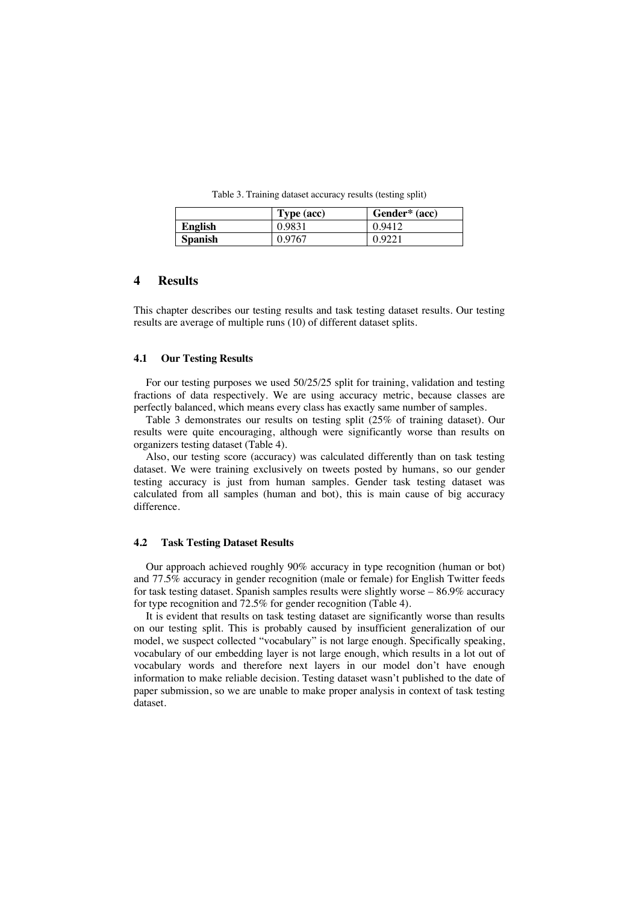Table 3. Training dataset accuracy results (testing split)

|                | Type (acc) | Gender* (acc) |
|----------------|------------|---------------|
| English        | 0.9831     | 0.9412        |
| <b>Spanish</b> | 0.9767     | 0.9221        |

## **4 Results**

This chapter describes our testing results and task testing dataset results. Our testing results are average of multiple runs (10) of different dataset splits.

#### **4.1 Our Testing Results**

For our testing purposes we used 50/25/25 split for training, validation and testing fractions of data respectively. We are using accuracy metric, because classes are perfectly balanced, which means every class has exactly same number of samples.

Table 3 demonstrates our results on testing split (25% of training dataset). Our results were quite encouraging, although were significantly worse than results on organizers testing dataset (Table 4).

Also, our testing score (accuracy) was calculated differently than on task testing dataset. We were training exclusively on tweets posted by humans, so our gender testing accuracy is just from human samples. Gender task testing dataset was calculated from all samples (human and bot), this is main cause of big accuracy difference.

#### **4.2 Task Testing Dataset Results**

Our approach achieved roughly 90% accuracy in type recognition (human or bot) and 77.5% accuracy in gender recognition (male or female) for English Twitter feeds for task testing dataset. Spanish samples results were slightly worse – 86.9% accuracy for type recognition and 72.5% for gender recognition (Table 4).

It is evident that results on task testing dataset are significantly worse than results on our testing split. This is probably caused by insufficient generalization of our model, we suspect collected "vocabulary" is not large enough. Specifically speaking, vocabulary of our embedding layer is not large enough, which results in a lot out of vocabulary words and therefore next layers in our model don't have enough information to make reliable decision. Testing dataset wasn't published to the date of paper submission, so we are unable to make proper analysis in context of task testing dataset.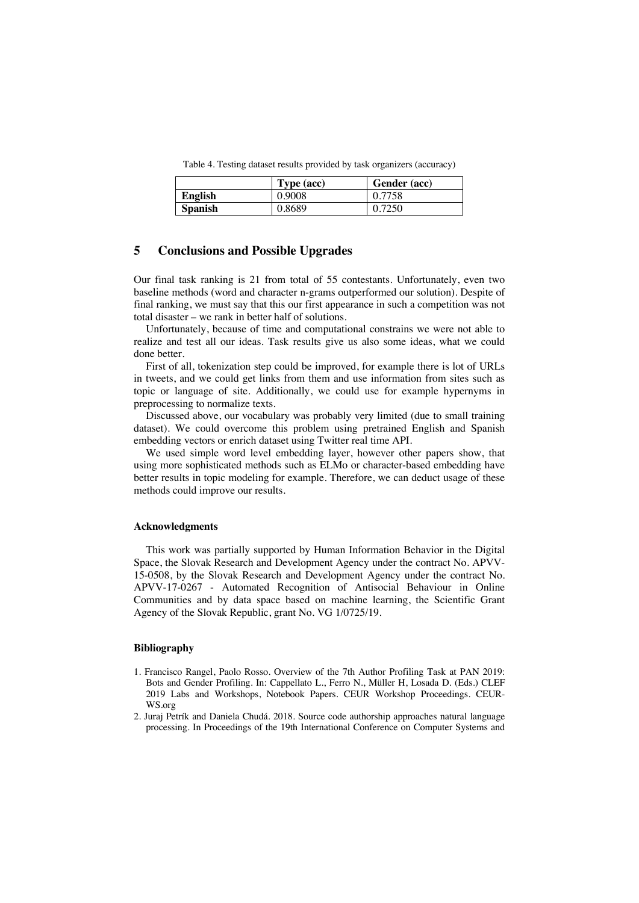Table 4. Testing dataset results provided by task organizers (accuracy)

|                | Type (acc) | Gender (acc) |
|----------------|------------|--------------|
| <b>English</b> | 0.9008     | 0.7758       |
| <b>Spanish</b> | 0.8689     | 0.7250       |

## **5 Conclusions and Possible Upgrades**

Our final task ranking is 21 from total of 55 contestants. Unfortunately, even two baseline methods (word and character n-grams outperformed our solution). Despite of final ranking, we must say that this our first appearance in such a competition was not total disaster – we rank in better half of solutions.

Unfortunately, because of time and computational constrains we were not able to realize and test all our ideas. Task results give us also some ideas, what we could done better.

First of all, tokenization step could be improved, for example there is lot of URLs in tweets, and we could get links from them and use information from sites such as topic or language of site. Additionally, we could use for example hypernyms in preprocessing to normalize texts.

Discussed above, our vocabulary was probably very limited (due to small training dataset). We could overcome this problem using pretrained English and Spanish embedding vectors or enrich dataset using Twitter real time API.

We used simple word level embedding layer, however other papers show, that using more sophisticated methods such as ELMo or character-based embedding have better results in topic modeling for example. Therefore, we can deduct usage of these methods could improve our results.

#### **Acknowledgments**

This work was partially supported by Human Information Behavior in the Digital Space, the Slovak Research and Development Agency under the contract No. APVV-15-0508, by the Slovak Research and Development Agency under the contract No. APVV-17-0267 - Automated Recognition of Antisocial Behaviour in Online Communities and by data space based on machine learning, the Scientific Grant Agency of the Slovak Republic, grant No. VG 1/0725/19.

#### **Bibliography**

- 1. Francisco Rangel, Paolo Rosso. Overview of the 7th Author Profiling Task at PAN 2019: Bots and Gender Profiling. In: Cappellato L., Ferro N., Müller H, Losada D. (Eds.) CLEF 2019 Labs and Workshops, Notebook Papers. CEUR Workshop Proceedings. CEUR-WS.org
- 2. Juraj Petrík and Daniela Chudá. 2018. Source code authorship approaches natural language processing. In Proceedings of the 19th International Conference on Computer Systems and